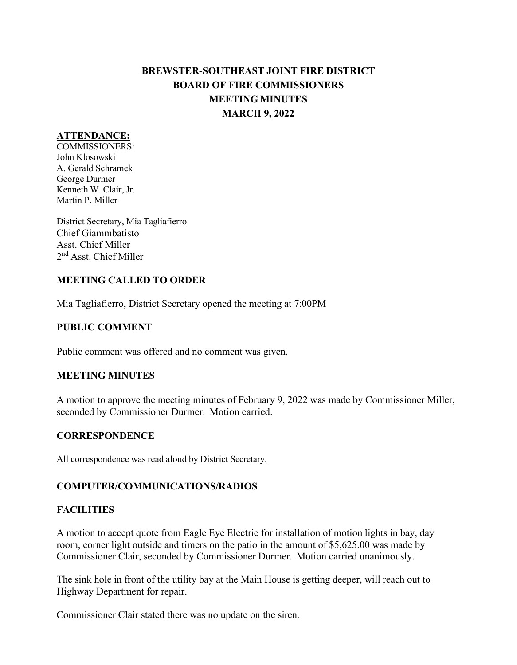# **BREWSTER-SOUTHEAST JOINT FIRE DISTRICT BOARD OF FIRE COMMISSIONERS MEETING MINUTES MARCH 9, 2022**

#### **ATTENDANCE:**

COMMISSIONERS: John Klosowski A. Gerald Schramek George Durmer Kenneth W. Clair, Jr. Martin P. Miller

District Secretary, Mia Tagliafierro Chief Giammbatisto Asst. Chief Miller 2nd Asst. Chief Miller

# **MEETING CALLED TO ORDER**

Mia Tagliafierro, District Secretary opened the meeting at 7:00PM

#### **PUBLIC COMMENT**

Public comment was offered and no comment was given.

#### **MEETING MINUTES**

A motion to approve the meeting minutes of February 9, 2022 was made by Commissioner Miller, seconded by Commissioner Durmer. Motion carried.

#### **CORRESPONDENCE**

All correspondence was read aloud by District Secretary.

# **COMPUTER/COMMUNICATIONS/RADIOS**

# **FACILITIES**

A motion to accept quote from Eagle Eye Electric for installation of motion lights in bay, day room, corner light outside and timers on the patio in the amount of \$5,625.00 was made by Commissioner Clair, seconded by Commissioner Durmer. Motion carried unanimously.

The sink hole in front of the utility bay at the Main House is getting deeper, will reach out to Highway Department for repair.

Commissioner Clair stated there was no update on the siren.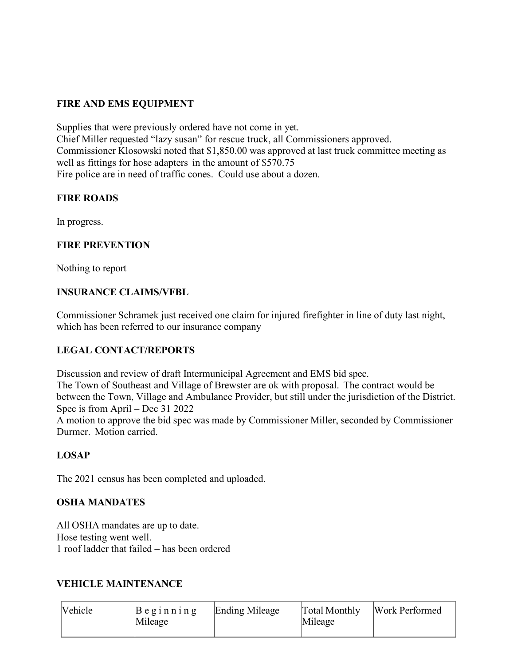# **FIRE AND EMS EQUIPMENT**

Supplies that were previously ordered have not come in yet. Chief Miller requested "lazy susan" for rescue truck, all Commissioners approved. Commissioner Klosowski noted that \$1,850.00 was approved at last truck committee meeting as well as fittings for hose adapters in the amount of \$570.75 Fire police are in need of traffic cones. Could use about a dozen.

# **FIRE ROADS**

In progress.

# **FIRE PREVENTION**

Nothing to report

# **INSURANCE CLAIMS/VFBL**

Commissioner Schramek just received one claim for injured firefighter in line of duty last night, which has been referred to our insurance company

# **LEGAL CONTACT/REPORTS**

Discussion and review of draft Intermunicipal Agreement and EMS bid spec. The Town of Southeast and Village of Brewster are ok with proposal. The contract would be between the Town, Village and Ambulance Provider, but still under the jurisdiction of the District. Spec is from April – Dec 31 2022 A motion to approve the bid spec was made by Commissioner Miller, seconded by Commissioner Durmer. Motion carried.

# **LOSAP**

The 2021 census has been completed and uploaded.

# **OSHA MANDATES**

All OSHA mandates are up to date. Hose testing went well. 1 roof ladder that failed – has been ordered

# **VEHICLE MAINTENANCE**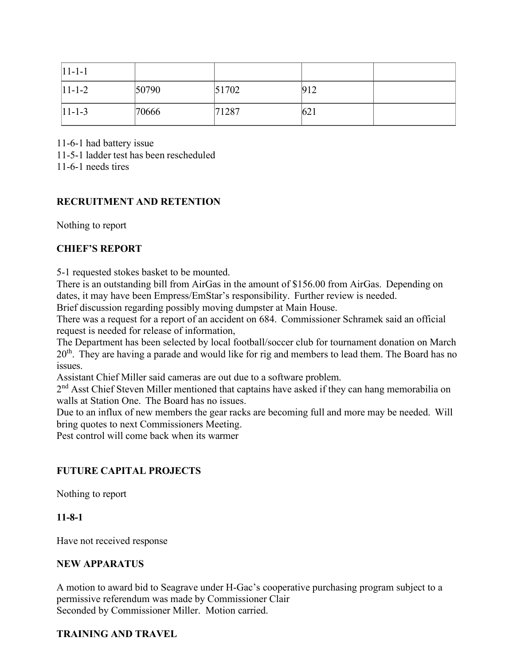| $ 11-1-1 $ |       |       |     |  |
|------------|-------|-------|-----|--|
| $ 11-1-2 $ | 50790 | 51702 | 912 |  |
| $ 11-1-3 $ | 70666 | 71287 | 621 |  |

11-6-1 had battery issue 11-5-1 ladder test has been rescheduled

11-6-1 needs tires

#### **RECRUITMENT AND RETENTION**

Nothing to report

#### **CHIEF'S REPORT**

5-1 requested stokes basket to be mounted.

There is an outstanding bill from AirGas in the amount of \$156.00 from AirGas. Depending on dates, it may have been Empress/EmStar's responsibility. Further review is needed.

Brief discussion regarding possibly moving dumpster at Main House.

There was a request for a report of an accident on 684. Commissioner Schramek said an official request is needed for release of information,

The Department has been selected by local football/soccer club for tournament donation on March  $20<sup>th</sup>$ . They are having a parade and would like for rig and members to lead them. The Board has no issues.

Assistant Chief Miller said cameras are out due to a software problem.

2<sup>nd</sup> Asst Chief Steven Miller mentioned that captains have asked if they can hang memorabilia on walls at Station One. The Board has no issues.

Due to an influx of new members the gear racks are becoming full and more may be needed. Will bring quotes to next Commissioners Meeting.

Pest control will come back when its warmer

# **FUTURE CAPITAL PROJECTS**

Nothing to report

#### **11-8-1**

Have not received response

# **NEW APPARATUS**

A motion to award bid to Seagrave under H-Gac's cooperative purchasing program subject to a permissive referendum was made by Commissioner Clair Seconded by Commissioner Miller. Motion carried.

# **TRAINING AND TRAVEL**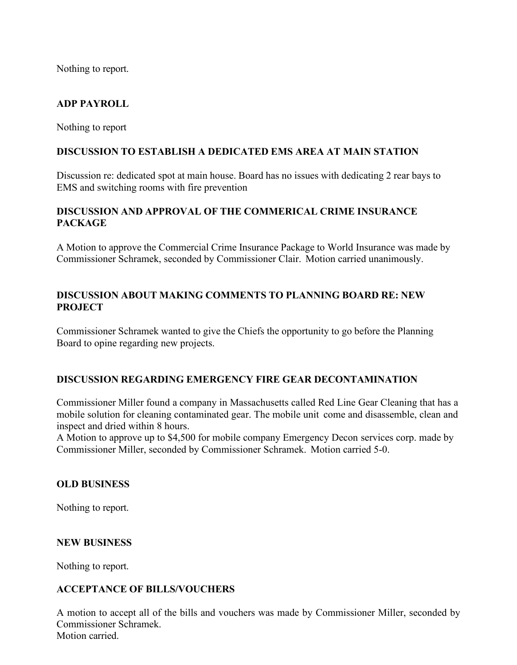Nothing to report.

# **ADP PAYROLL**

Nothing to report

### **DISCUSSION TO ESTABLISH A DEDICATED EMS AREA AT MAIN STATION**

Discussion re: dedicated spot at main house. Board has no issues with dedicating 2 rear bays to EMS and switching rooms with fire prevention

# **DISCUSSION AND APPROVAL OF THE COMMERICAL CRIME INSURANCE PACKAGE**

A Motion to approve the Commercial Crime Insurance Package to World Insurance was made by Commissioner Schramek, seconded by Commissioner Clair. Motion carried unanimously.

# **DISCUSSION ABOUT MAKING COMMENTS TO PLANNING BOARD RE: NEW PROJECT**

Commissioner Schramek wanted to give the Chiefs the opportunity to go before the Planning Board to opine regarding new projects.

# **DISCUSSION REGARDING EMERGENCY FIRE GEAR DECONTAMINATION**

Commissioner Miller found a company in Massachusetts called Red Line Gear Cleaning that has a mobile solution for cleaning contaminated gear. The mobile unit come and disassemble, clean and inspect and dried within 8 hours.

A Motion to approve up to \$4,500 for mobile company Emergency Decon services corp. made by Commissioner Miller, seconded by Commissioner Schramek. Motion carried 5-0.

#### **OLD BUSINESS**

Nothing to report.

#### **NEW BUSINESS**

Nothing to report.

# **ACCEPTANCE OF BILLS/VOUCHERS**

A motion to accept all of the bills and vouchers was made by Commissioner Miller, seconded by Commissioner Schramek. Motion carried.